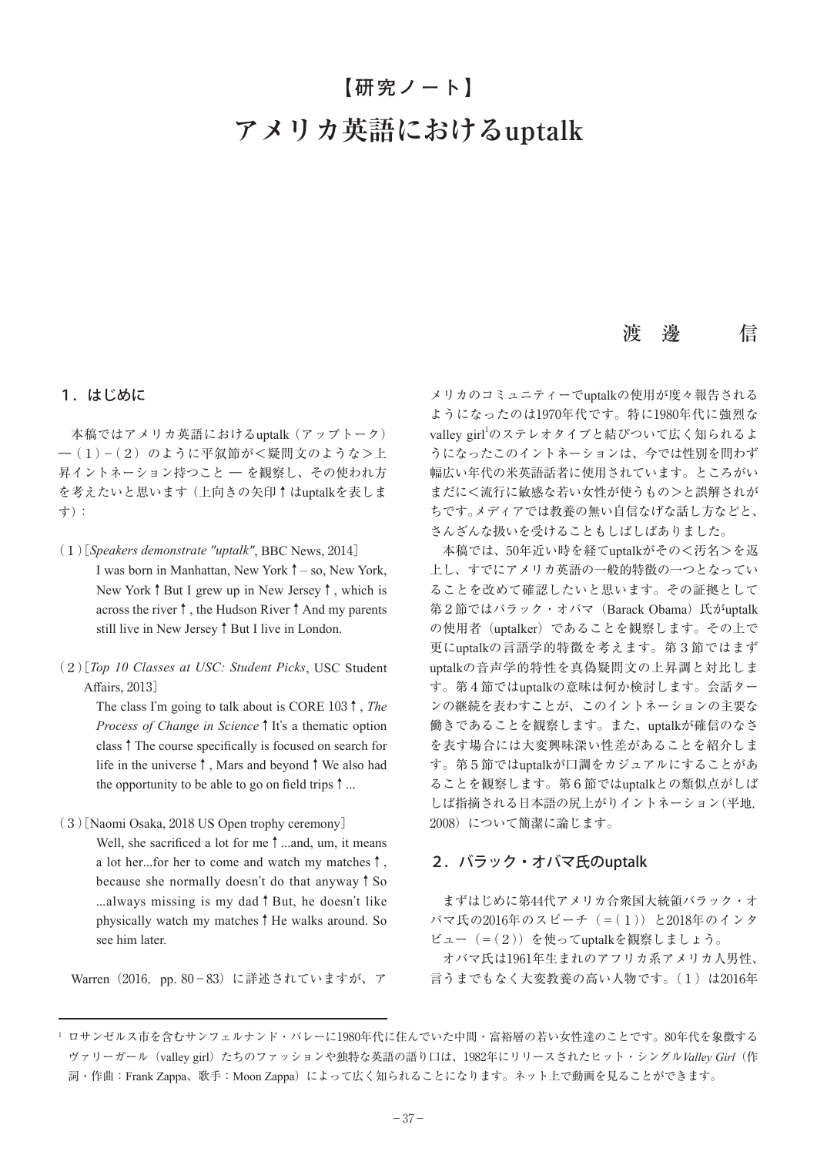# **アメリカ英語におけるuptalk 【研究ノート】**

# 渡 邊 信

# 1.はじめに

本稿ではアメリカ英語におけるuptalk(アップトーク) ―(1)-(2)のように平叙節が<疑問文のような>上 昇イントネーション持つこと ― を観察し、その使われ方 を考えたいと思います(上向きの矢印↑はuptalkを表しま す):

- (1)[*Speakers demonstrate "uptalk"*, BBC News, 2014] I was born in Manhattan, New York↑– so, New York, New York↑But I grew up in New Jersey↑, which is across the river↑, the Hudson River↑And my parents still live in New Jersey↑But I live in London.
- (2)[*Top 10 Classes at USC: Student Picks*, USC Student Affairs, 2013]

The class I'm going to talk about is CORE 103↑, *The Process of Change in Science* ↑ It's a thematic option class↑The course specifically is focused on search for life in the universe↑, Mars and beyond↑We also had the opportunity to be able to go on field trips  $\uparrow$  ...

(3)[Naomi Osaka, 2018 US Open trophy ceremony]

Well, she sacrificed a lot for me↑ $\dots$ and, um, it means a lot her︙for her to come and watch my matches↑, because she normally doesn't do that anyway↑So ︙always missing is my dad↑But, he doesn't like physically watch my matches↑He walks around. So see him later.

Warren (2016, pp. 80-83) に詳述されていますが、ア

メリカのコミュニティーでuptalkの使用が度々報告される ようになったのは1970年代です。特に1980年代に強烈な valley girl<sup>1</sup>のステレオタイプと結びついて広く知られるよ うになったこのイントネーションは、今では性別を問わず 幅広い年代の米英語話者に使用されています。ところがい まだに<流行に敏感な若い女性が使うもの>と誤解されが ちです。メディアでは教養の無い自信なげな話し方などと、 さんざんな扱いを受けることもしばしばありました。

本稿では、50年近い時を経てuptalkがその<汚名>を返 上し、すでにアメリカ英語の一般的特徴の一つとなってい ることを改めて確認したいと思います。その証拠として 第2節ではバラック・オバマ (Barack Obama) 氏がuptalk の使用者(uptalker)であることを観察します。その上で 更にuptalkの言語学的特徴を考えます。第3節ではまず uptalkの音声学的特性を真偽疑問文の上昇調と対比しま す。第4節ではuptalkの意味は何か検討します。会話ター ンの継続を表わすことが、このイントネーションの主要な 働きであることを観察します。また、uptalkが確信のなさ を表す場合には大変興味深い性差があることを紹介しま す。第5節ではuptalkが口調をカジュアルにすることがあ ることを観察します。第6節ではuptalkとの類似点がしば しば指摘される日本語の尻上がりイントネーション(平地, 2008)について簡潔に論じます。

# 2.バラック・オバマ氏のuptalk

まずはじめに第44代アメリカ合衆国大統領バラック・オ バマ氏の2016年のスピーチ(=(1))と2018年のインタ ビュー(=(2))を使ってuptalkを観察しましょう。

オバマ氏は1961年生まれのアフリカ系アメリカ人男性、 言うまでもなく大変教養の高い人物です。(1)は2016年

<sup>1</sup> ロサンゼルス市を含むサンフェルナンド・バレーに1980年代に住んでいた中間・富裕層の若い女性達のことです。80年代を象徴する ヴァリーガール(valley girl)たちのファッションや独特な英語の語り口は、1982年にリリースされたヒット・シングル*Valley Girl*(作 詞·作曲: Frank Zappa、歌手: Moon Zappa)によって広く知られることになります。ネット上で動画を見ることができます。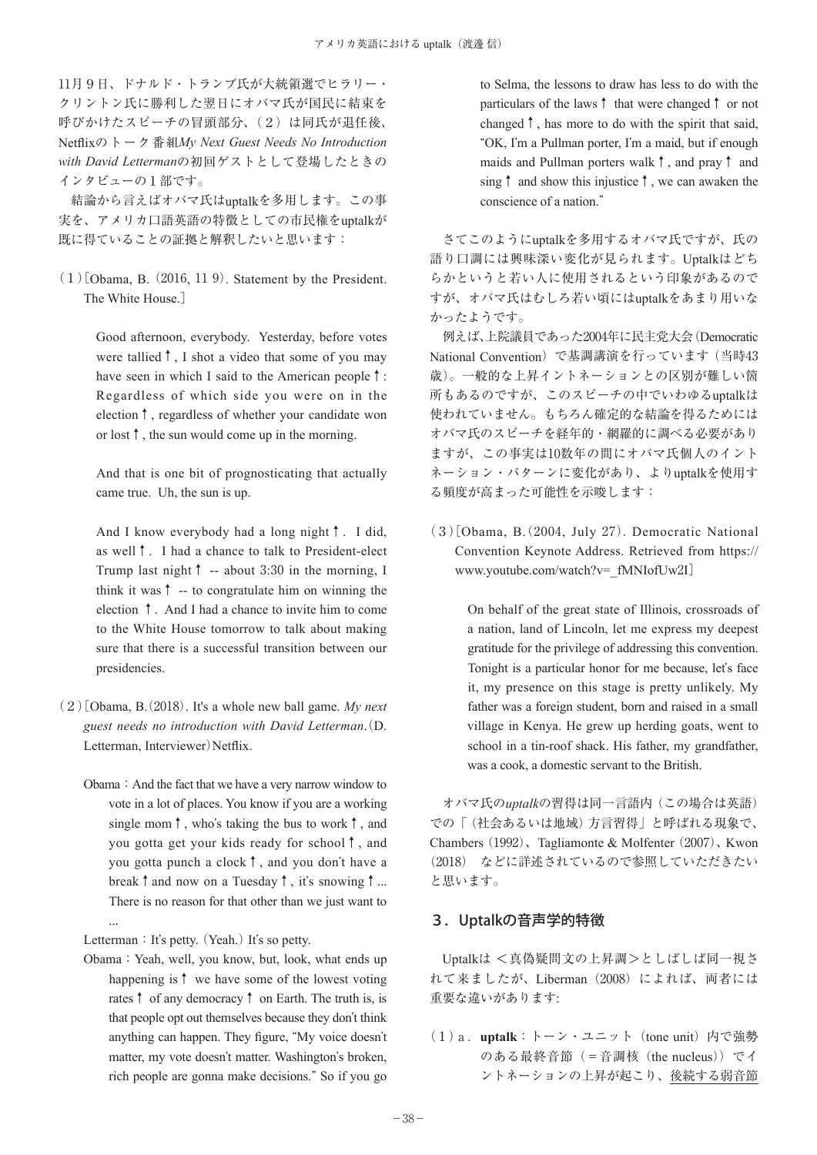11月9日、ドナルド・トランプ氏が大統領選でヒラリー・ クリントン氏に勝利した翌日にオバマ氏が国民に結束を 呼びかけたスピーチの冒頭部分、(2)は同氏が退任後、 Netflixのトーク番組*My Next Guest Needs No Introduction with David Letterman*の初回ゲストとして登場したときの インタビューの1部です。

結論から言えばオバマ氏はuptalkを多用します。この事 実を、アメリカ口語英語の特徴としての市民権をuptalkが 既に得ていることの証拠と解釈したいと思います:

 $(1)$ [Obama, B.  $(2016, 119)$ . Statement by the President. The White House.]

> Good afternoon, everybody. Yesterday, before votes were tallied↑, I shot a video that some of you may have seen in which I said to the American people↑: Regardless of which side you were on in the election↑, regardless of whether your candidate won or lost↑, the sun would come up in the morning.

> And that is one bit of prognosticating that actually came true. Uh, the sun is up.

> And I know everybody had a long night↑. I did, as well↑. I had a chance to talk to President-elect Trump last night↑ -- about 3:30 in the morning, I think it was↑ -- to congratulate him on winning the election ↑. And I had a chance to invite him to come to the White House tomorrow to talk about making sure that there is a successful transition between our presidencies.

- $(2)$ [Obama, B.  $(2018)$ . It's a whole new ball game. *My next guest needs no introduction with David Letterman*(. D. Letterman, Interviewer)Netflix.
	- Obama: And the fact that we have a very narrow window to vote in a lot of places. You know if you are a working single mom↑, who's taking the bus to work↑, and you gotta get your kids ready for school↑, and you gotta punch a clock↑, and you don't have a break  $\uparrow$  and now on a Tuesday  $\uparrow$ , it's snowing  $\uparrow$  ... There is no reason for that other than we just want to ...

Letterman: It's petty. (Yeah.) It's so petty.

Obama:Yeah, well, you know, but, look, what ends up happening is↑ we have some of the lowest voting rates↑ of any democracy↑ on Earth. The truth is, is that people opt out themselves because they don't think anything can happen. They figure, "My voice doesn't matter, my vote doesn't matter. Washington's broken, rich people are gonna make decisions." So if you go

to Selma, the lessons to draw has less to do with the particulars of the laws↑ that were changed↑ or not changed↑, has more to do with the spirit that said, "OK, I'm a Pullman porter, I'm a maid, but if enough maids and Pullman porters walk↑, and pray↑ and sing↑ and show this injustice↑, we can awaken the conscience of a nation."

さてこのようにuptalkを多用するオバマ氏ですが、氏の 語り口調には興味深い変化が見られます。Uptalkはどち らかというと若い人に使用されるという印象があるので すが、オバマ氏はむしろ若い頃にはuptalkをあまり用いな かったようです。

例えば、上院議員であった2004年に民主党大会(Democratic National Convention)で基調講演を行っています(当時43 歳)。一般的な上昇イントネーションとの区別が難しい箇 所もあるのですが、このスピーチの中でいわゆるuptalkは 使われていません。もちろん確定的な結論を得るためには オバマ氏のスピーチを経年的・網羅的に調べる必要があり ますが、この事実は10数年の間にオバマ氏個人のイント ネーション・パターンに変化があり、よりuptalkを使用す る頻度が高まった可能性を示唆します:

 $(3)$ [Obama, B.  $(2004, \text{ July } 27)$ . Democratic National Convention Keynote Address. Retrieved from https:// www.youtube.com/watch?v=\_fMNIofUw2I]

> On behalf of the great state of Illinois, crossroads of a nation, land of Lincoln, let me express my deepest gratitude for the privilege of addressing this convention. Tonight is a particular honor for me because, let's face it, my presence on this stage is pretty unlikely. My father was a foreign student, born and raised in a small village in Kenya. He grew up herding goats, went to school in a tin-roof shack. His father, my grandfather, was a cook, a domestic servant to the British.

オバマ氏の*uptalk*の習得は同一言語内(この場合は英語) での「(社会あるいは地域)方言習得」と呼ばれる現象で、 Chambers  $(1992)$ , Tagliamonte & Molfenter  $(2007)$ , Kwon (2018) などに詳述されているので参照していただきたい と思います。

# 3.Uptalkの音声学的特徴

Uptalkは <真偽疑問文の上昇調>としばしば同一視さ れて来ましたが、Liberman(2008)によれば、両者には 重要な違いがあります:

(1)a.**uptalk**:トーン・ユニット(tone unit)内で強勢 のある最終音節(=音調核 (the nucleus)) でイ ントネーションの上昇が起こり、後続する弱音節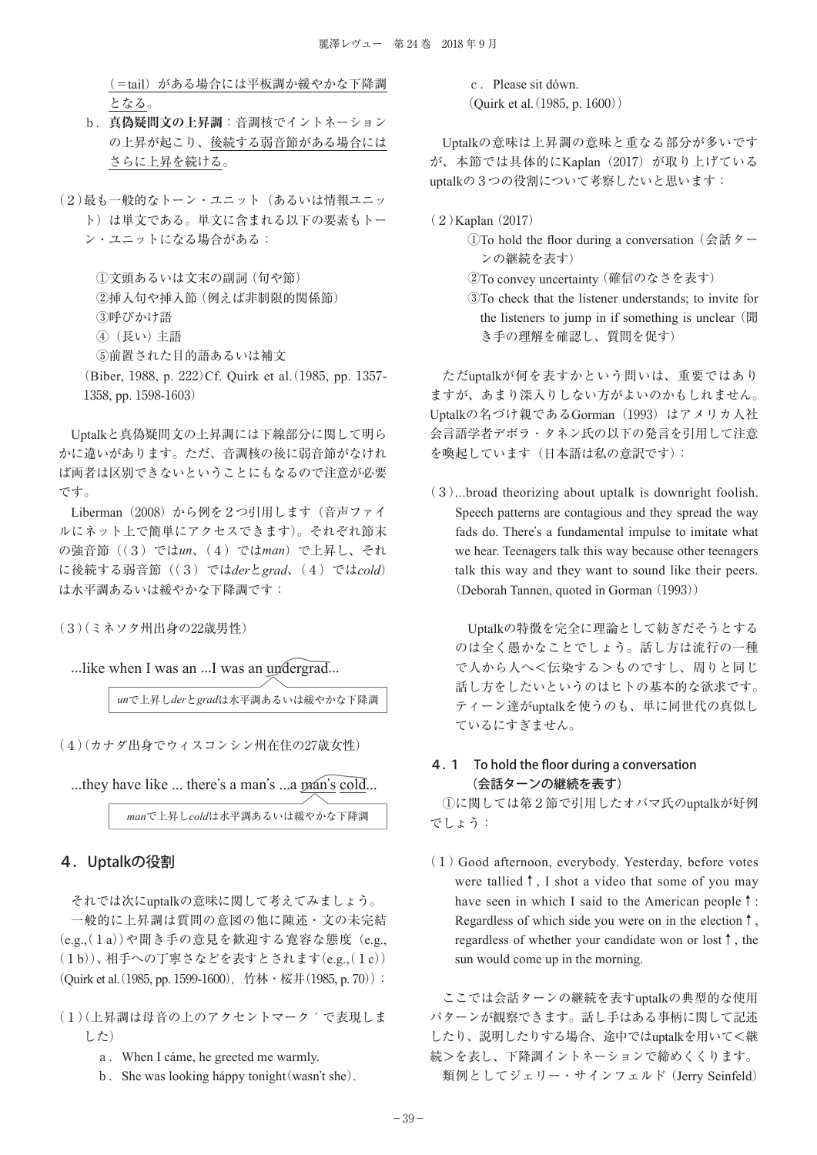(=tail)がある場合には平板調か緩やかな下降調 となる。

- b.**真偽疑問文の上昇調**:音調核でイントネーション の上昇が起こり、後続する弱音節がある場合には さらに上昇を続ける。
- (2)最も一般的なトーン・ユニット(あるいは情報ユニッ ト)は単文である。単文に含まれる以下の要素もトー ン・ユニットになる場合がある:

①文頭あるいは文末の副詞(句や節)

②挿入句や挿入節(例えば非制限的関係節)

③呼びかけ語

④(長い)主語

⑤前置された目的語あるいは補文

(Biber, 1988, p. 222)Cf. Quirk et al. (1985, pp. 1357-1358, pp. 1598-1603)

Uptalkと真偽疑問文の上昇調には下線部分に関して明ら かに違いがあります。ただ、音調核の後に弱音節がなけれ ば両者は区別できないということにもなるので注意が必要 です。

Liberman (2008) から例を2つ引用します (音声ファイ ルにネット上で簡単にアクセスできます)。それぞれ節末 の強音節((3)では*un*、(4)では*man*)で上昇し、それ に後続する弱音節((3)では*der*と*grad*、(4)では*cold*) は水平調あるいは緩やかな下降調です:

(3)(ミネソタ州出身の22歳男性)

...like when I was an ...I was an undergrad...

*un*で上昇し*der*と*grad*は水平調あるいは緩やかな下降調

(4)(カナダ出身でウィスコンシン州在住の27歳女性)

...they have like ... there's a man's ...a man's cold...

*man*で上昇し*cold*は水平調あるいは緩やかな下降調

# 4.Uptalkの役割

それでは次にuptalkの意味に関して考えてみましょう。 一般的に上昇調は質問の意図の他に陳述・文の未完結 (e.g.(, 1a))や聞き手の意見を歓迎する寛容な態度(e.g., (1b))、相手への丁寧さなどを表すとされます(e.g., (1c)) (Quirk et al. (1985, pp. 1599-1600), 竹林·桜井(1985, p. 70)):

- (1)(上昇調は母音の上のアクセントマーク´で表現しま した)
	- a.When I cáme, he greeted me warmly.
	- b. She was looking háppy tonight (wasn't she).

c. Please sit dówn.  $($ Quirk et al.  $(1985, p. 1600)$  $)$ 

Uptalkの意味は上昇調の意味と重なる部分が多いです が、本節では具体的にKaplan (2017)が取り上げている uptalkの3つの役割について考察したいと思います:

(2)Kaplan(2017)

①To hold the floor during a conversation (会話ター ンの継続を表す)

②To convey uncertainty(確信のなさを表す)

③To check that the listener understands; to invite for the listeners to jump in if something is unclear (聞 き手の理解を確認し、質問を促す)

ただuptalkが何を表すかという問いは、重要ではあり ますが、あまり深入りしない方がよいのかもしれません。 Uptalkの名づけ親であるGorman (1993) はアメリカ人社 会言語学者デボラ・タネン氏の以下の発言を引用して注意 を喚起しています(日本語は私の意訳です):

(3)...broad theorizing about uptalk is downright foolish. Speech patterns are contagious and they spread the way fads do. There's a fundamental impulse to imitate what we hear. Teenagers talk this way because other teenagers talk this way and they want to sound like their peers. (Deborah Tannen, quoted in Gorman (1993))

Uptalkの特徴を完全に理論として紡ぎだそうとする のは全く愚かなことでしょう。話し方は流行の一種 で人から人へ<伝染する>ものですし、周りと同じ 話し方をしたいというのはヒトの基本的な欲求です。 ティーン達がuptalkを使うのも、単に同世代の真似し ているにすぎません。

# 4.1 To hold the floor during a conversation (会話ターンの継続を表す)

①に関しては第2節で引用したオバマ氏のuptalkが好例 でしょう:

(1) Good afternoon, everybody. Yesterday, before votes were tallied↑, I shot a video that some of you may have seen in which I said to the American people↑: Regardless of which side you were on in the election↑, regardless of whether your candidate won or lost↑, the sun would come up in the morning.

ここでは会話ターンの継続を表すuptalkの典型的な使用 パターンが観察できます。話し手はある事柄に関して記述 したり、説明したりする場合、途中ではuptalkを用いて<継 続>を表し、下降調イントネーションで締めくくります。 類例としてジェリー・サインフェルド (Jerry Seinfeld)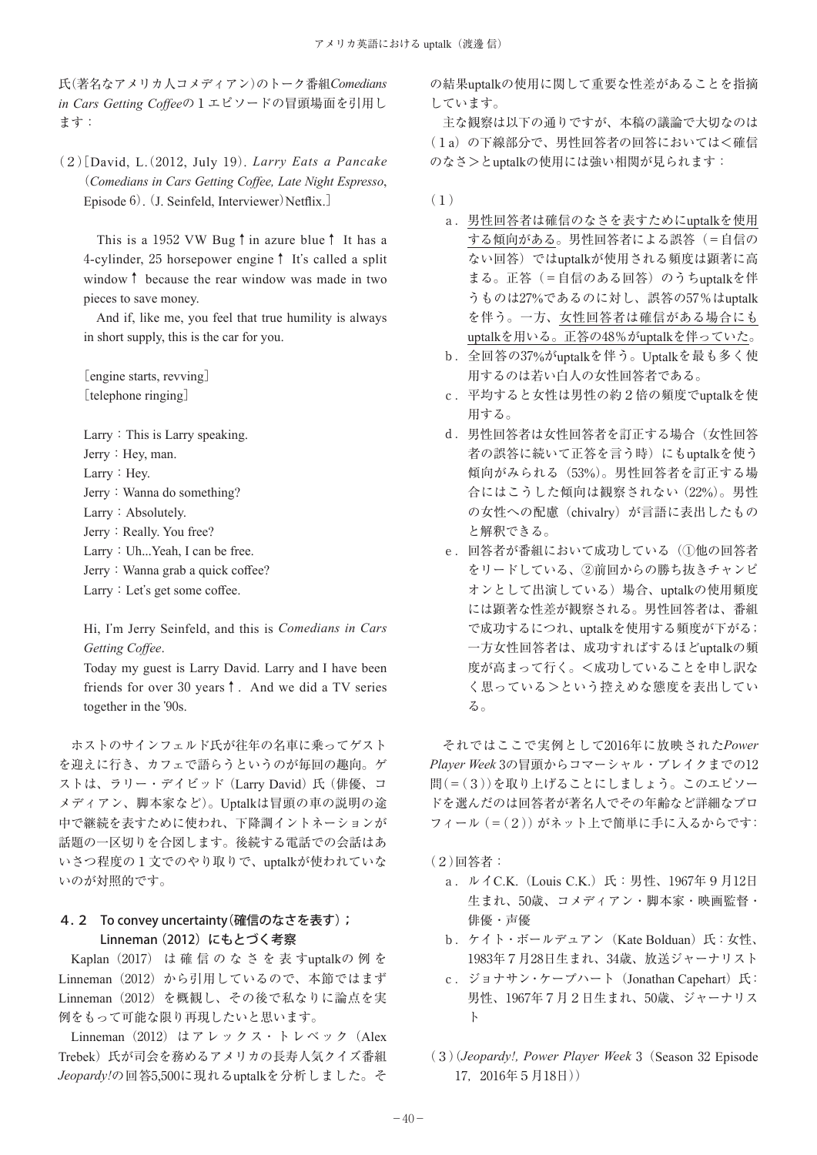氏(著名なアメリカ人コメディアン)のトーク番組*Comedians in Cars Getting Coffee*の1エピソードの冒頭場面を引用し ます:

(2[)David, L(. 2012, July 19). *Larry Eats a Pancake*  (*Comedians in Cars Getting Coffee, Late Night Espresso*, Episode 6). (J. Seinfeld, Interviewer)Netflix.]

This is a 1952 VW Bug↑in azure blue↑ It has a 4-cylinder, 25 horsepower engine↑ It's called a split window↑ because the rear window was made in two pieces to save money.

And if, like me, you feel that true humility is always in short supply, this is the car for you.

[engine starts, revving] [telephone ringing]

Larry: This is Larry speaking. Jerry: Hey, man. Larry: Hey. Jerry: Wanna do something? Larry: Absolutely. Jerry: Really. You free? Larry: Uh...Yeah, I can be free. Jerry: Wanna grab a quick coffee?

Larry: Let's get some coffee.

Hi, I'm Jerry Seinfeld, and this is *Comedians in Cars Getting Coffee*.

Today my guest is Larry David. Larry and I have been friends for over 30 years↑. And we did a TV series together in the '90s.

ホストのサインフェルド氏が往年の名車に乗ってゲスト を迎えに行き、カフェで語らうというのが毎回の趣向。ゲ ストは、ラリー・デイビッド (Larry David) 氏 (俳優、コ メディアン、脚本家など)。Uptalkは冒頭の車の説明の途 中で継続を表すために使われ、下降調イントネーションが 話題の一区切りを合図します。後続する電話での会話はあ いさつ程度の1文でのやり取りで、uptalkが使われていな いのが対照的です。

# 4.2 To convey uncertainty (確信のなさを表す) ; Linneman(2012)にもとづく考察

Kaplan (2017) は 確 信 の な さ を 表 すuptalkの 例 を Linneman (2012) から引用しているので、本節ではまず Linneman(2012)を概観し、その後で私なりに論点を実 例をもって可能な限り再現したいと思います。

Linneman (2012) はアレックス・トレベック (Alex Trebek)氏が司会を務めるアメリカの長寿人気クイズ番組 *Jeopardy!*の回答5,500に現れるuptalkを分析しました。そ

の結果uptalkの使用に関して重要な性差があることを指摘 しています。

主な観察は以下の通りですが、本稿の議論で大切なのは (1a)の下線部分で、男性回答者の回答においては<確信 のなさ>とuptalkの使用には強い相関が見られます:

- (1)
	- a.男性回答者は確信のなさを表すためにuptalkを使用 する傾向がある。男性回答者による誤答(=自信の ない回答)ではuptalkが使用される頻度は顕著に高 まる。正答(=自信のある回答)のうちuptalkを伴 うものは27%であるのに対し、誤答の57%はuptalk を伴う。一方、女性回答者は確信がある場合にも uptalkを用いる。正答の48%がuptalkを伴っていた。
	- b.全回答の37%がuptalkを伴う。Uptalkを最も多く使 用するのは若い白人の女性回答者である。
	- c.平均すると女性は男性の約2倍の頻度でuptalkを使 用する。
	- d.男性回答者は女性回答者を訂正する場合(女性回答 者の誤答に続いて正答を言う時)にもuptalkを使う 傾向がみられる (53%)。男性回答者を訂正する場 合にはこうした傾向は観察されない(22%)。男性 の女性への配慮 (chivalry) が言語に表出したもの と解釈できる。
	- e. 回答者が番組において成功している(1他の回答者 をリードしている、②前回からの勝ち抜きチャンピ オンとして出演している)場合、uptalkの使用頻度 には顕著な性差が観察される。男性回答者は、番組 で成功するにつれ、uptalkを使用する頻度が下がる; 一方女性回答者は、成功すればするほどuptalkの頻 度が高まって行く。<成功していることを申し訳な く思っている>という控えめな態度を表出してい る。

それではここで実例として2016年に放映された*Power Player Week* 3の冒頭からコマーシャル・ブレイクまでの12 問(=(3))を取り上げることにしましょう。このエピソー ドを選んだのは回答者が著名人でその年齢など詳細なプロ フィール(=(2))がネット上で簡単に手に入るからです:

(2)回答者:

- a. ルイC.K. (Louis C.K.) 氏: 男性、1967年9月12日 生まれ、50歳、コメディアン・脚本家・映画監督・ 俳優・声優
- b. ケイト・ボールデュアン (Kate Bolduan)氏: 女性、 1983年7月28日生まれ、34歳、放送ジャーナリスト
- c. ジョナサン・ケープハート (Jonathan Capehart)氏: 男性、1967年7月2日生まれ、50歳、ジャーナリス ト
- (3)(*Jeopardy!, Power Player Week* 3(Season 32 Episode 17,2016年5月18日))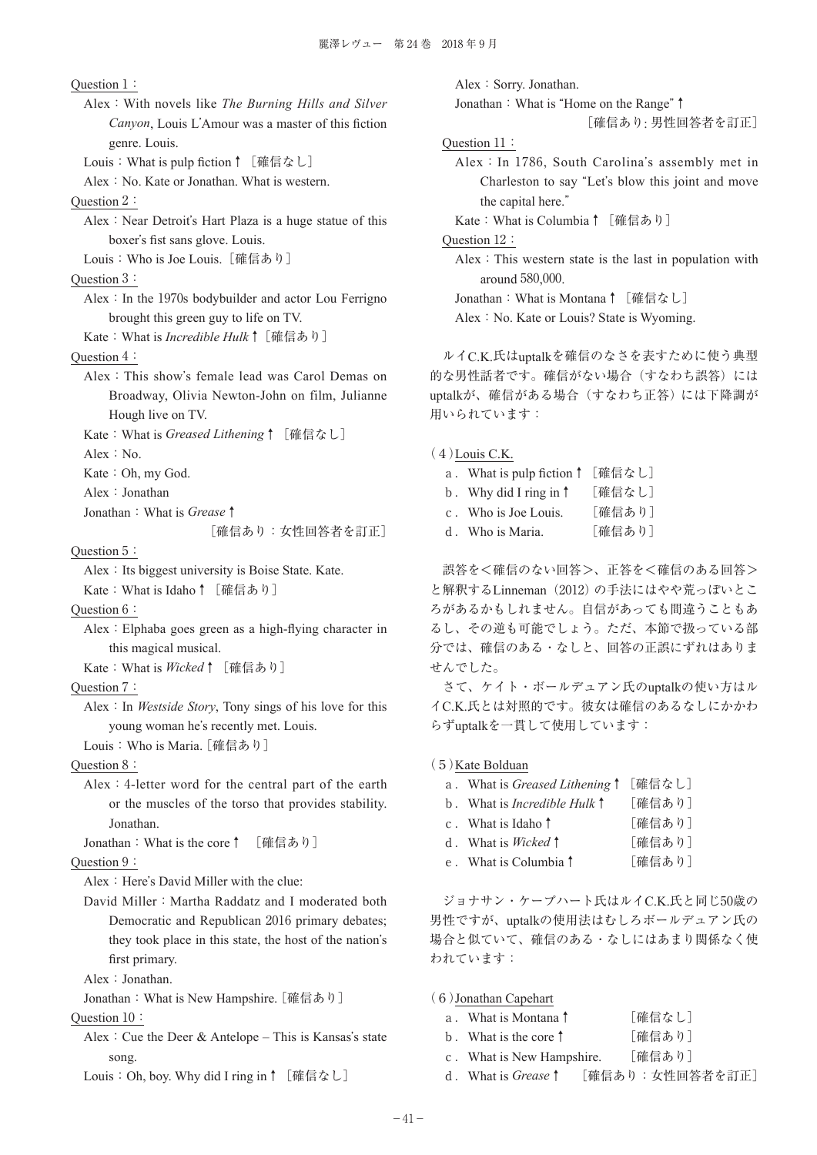Question 1:

Alex:With novels like *The Burning Hills and Silver Canyon*, Louis L'Amour was a master of this fiction genre. Louis.

Louis: What is pulp fiction↑ [確信なし]

Alex: No. Kate or Jonathan. What is western.

Question 2:

Alex: Near Detroit's Hart Plaza is a huge statue of this boxer's fist sans glove. Louis.

Louis:Who is Joe Louis.[確信あり]

- Question 3:
	- Alex: In the  $1970s$  bodybuilder and actor Lou Ferrigno brought this green guy to life on TV.
	- Kate:What is *Incredible Hulk*↑[確信あり]

# Question 4:

- Alex:This show's female lead was Carol Demas on Broadway, Olivia Newton-John on film, Julianne Hough live on TV.
- Kate:What is *Greased Lithening*↑[確信なし]
- Alex: No.
- Kate: Oh, my God.
- Alex:Jonathan
- Jonathan:What is *Grease*↑

[確信あり:女性回答者を訂正]

# Question 5:

Alex: Its biggest university is Boise State. Kate.

- Kate: What is Idaho↑ [確信あり]
- Question 6:
	- Alex:Elphaba goes green as a high-flying character in this magical musical.
	- Kate:What is *Wicked*↑[確信あり]
- Question 7:
	- Alex:In *Westside Story*, Tony sings of his love for this young woman he's recently met. Louis.
	- Louis:Who is Maria.[確信あり]

Question 8:

Alex:4-letter word for the central part of the earth or the muscles of the torso that provides stability. Jonathan.

Jonathan:What is the core↑ [確信あり]

# Question 9:

Alex: Here's David Miller with the clue:

- David Miller: Martha Raddatz and I moderated both Democratic and Republican 2016 primary debates; they took place in this state, the host of the nation's first primary.
- Alex:Jonathan.

Jonathan: What is New Hampshire. [確信あり]

- Question 10:
	- Alex: Cue the Deer & Antelope This is Kansas's state song.
	- Louis:Oh, boy. Why did I ring in↑[確信なし]

Alex: Sorry. Jonathan.

Jonathan:What is "Home on the Range"↑

[確信あり: 男性回答者を訂正]

```
Question 11:
```
Alex:In 1786, South Carolina's assembly met in Charleston to say "Let's blow this joint and move the capital here."

Kate: What is Columbia↑ [確信あり]

Question 12:

Alex: This western state is the last in population with around 580,000.

Jonathan: What is Montana↑ [確信なし]

Alex: No. Kate or Louis? State is Wyoming.

ルイC.K.氏はuptalkを確信のなさを表すために使う典型 的な男性話者です。確信がない場合(すなわち誤答)には uptalkが、確信がある場合(すなわち正答)には下降調が 用いられています:

#### $(4)$ Louis C.K.

- a. What is pulp fiction↑ [確信なし]
- b.Why did I ring in↑ [確信なし]
- c.Who is Joe Louis. [確信あり]
- d.Who is Maria. [確信あり]

誤答を<確信のない回答>、正答を<確信のある回答> と解釈するLinneman(2012)の手法にはやや荒っぽいとこ ろがあるかもしれません。自信があっても間違うこともあ るし、その逆も可能でしょう。ただ、本節で扱っている部 分では、確信のある・なしと、回答の正誤にずれはありま せんでした。

さて、ケイト・ボールデュアン氏のuptalkの使い方はル イC.K.氏とは対照的です。彼女は確信のあるなしにかかわ らずuptalkを一貫して使用しています:

#### (5)Kate Bolduan

- a.What is *Greased Lithening*↑[確信なし]
- b.What is *Incredible Hulk*↑ [確信あり]
- c. What is Idaho↑ 「確信あり]
- d.What is *Wicked*↑ [確信あり]
- e.What is Columbia↑ [確信あり]

ジョナサン・ケープハート氏はルイC.K.氏と同じ50歳の 男性ですが、uptalkの使用法はむしろボールデュアン氏の 場合と似ていて、確信のある・なしにはあまり関係なく使 われています:

(6)Jonathan Capehart

| What is Montana 1 | [確信なし] |
|-------------------|--------|
|                   |        |

|  |  | What is the core 1 | [確信あり] |
|--|--|--------------------|--------|
|--|--|--------------------|--------|

- c.What is New Hampshire. [確信あり]
- d.What is *Grease*↑ [確信あり:女性回答者を訂正]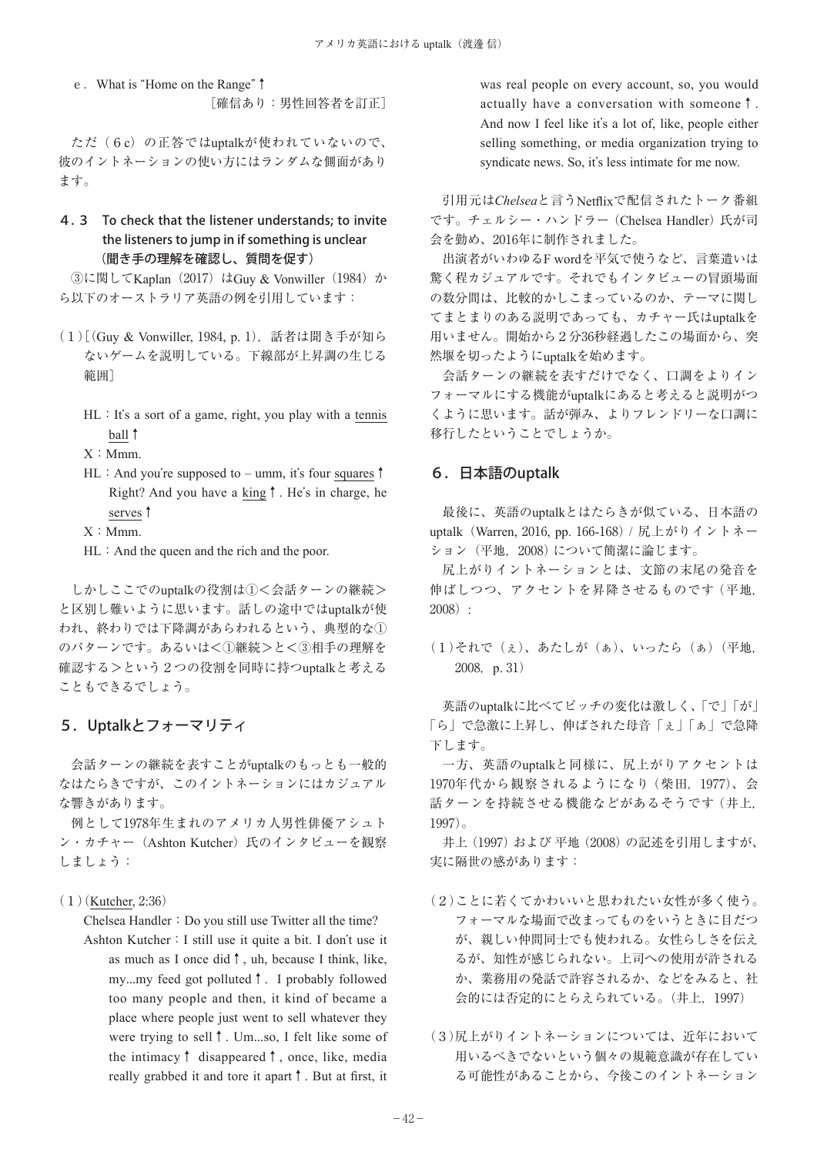e.What is "Home on the Range"↑ [確信あり:男性回答者を訂正]

ただ(6c)の正答ではuptalkが使われていないので、 彼のイントネーションの使い方にはランダムな側面があり ます。

# 4.3 To check that the listener understands; to invite the listeners to jump in if something is unclear (聞き手の理解を確認し、質問を促す)

3に関してKaplan (2017) はGuy & Vonwiller (1984) か ら以下のオーストラリア英語の例を引用しています:

- (1)[(Guy & Vonwiller, 1984, p. 1),話者は聞き手が知ら ないゲームを説明している。下線部が上昇調の生じる 範囲]
	- $HL:$  It's a sort of a game, right, you play with a tennis ball↑

 $X: Mmm.$ 

HL: And you're supposed to – umm, it's four squares↑ Right? And you have a king↑. He's in charge, he serves↑

 $X: Mmm.$ 

HL: And the queen and the rich and the poor.

しかしここでのuptalkの役割は①<会話ターンの継続> と区別し難いように思います。話しの途中ではuptalkが使 われ、終わりでは下降調があらわれるという、典型的な① のパターンです。あるいは<①継続>と<③相手の理解を 確認する>という2つの役割を同時に持つuptalkと考える こともできるでしょう。

# 5.Uptalkとフォーマリティ

会話ターンの継続を表すことがuptalkのもっとも一般的 なはたらきですが、このイントネーションにはカジュアル な響きがあります。

例として1978年生まれのアメリカ人男性俳優アシュト ン・カチャー (Ashton Kutcher) 氏のインタビューを観察 しましょう:

#### (1)(Kutcher, 2:36)

Chelsea Handler: Do you still use Twitter all the time? Ashton Kutcher:I still use it quite a bit. I don't use it

as much as I once did↑, uh, because I think, like, my...my feed got polluted↑. I probably followed too many people and then, it kind of became a place where people just went to sell whatever they were trying to sell↑. Um...so, I felt like some of the intimacy↑ disappeared↑, once, like, media really grabbed it and tore it apart↑. But at first, it

was real people on every account, so, you would actually have a conversation with someone↑. And now I feel like it's a lot of, like, people either selling something, or media organization trying to syndicate news. So, it's less intimate for me now.

引用元は*Chelsea*と言うNetflixで配信されたトーク番組 です。チェルシー・ハンドラー(Chelsea Handler)氏が司 会を勤め、2016年に制作されました。

出演者がいわゆるF wordを平気で使うなど、言葉遣いは 驚く程カジュアルです。それでもインタビューの冒頭場面 の数分間は、比較的かしこまっているのか、テーマに関し てまとまりのある説明であっても、カチャー氏はuptalkを 用いません。開始から2分36秒経過したこの場面から、突 然堰を切ったようにuptalkを始めます。

会話ターンの継続を表すだけでなく、口調をよりイン フォーマルにする機能がuptalkにあると考えると説明がつ くように思います。話が弾み、よりフレンドリーな口調に 移行したということでしょうか。

## 6.日本語のuptalk

最後に、英語のuptalkとはたらきが似ている、日本語の uptalk (Warren, 2016, pp. 166-168) / 尻上がりイントネー ション (平地, 2008)について簡潔に論じます。

尻上がりイントネーションとは、文節の末尾の発音を 伸ばしつつ、アクセントを昇降させるものです (平地, 2008):

(1)それで(ぇ)、あたしが(ぁ)、いったら(ぁ)(平地, 2008, p. 31)

英語のuptalkに比べてピッチの変化は激しく、「で」「が」 「ら」で急激に上昇し、伸ばされた母音「ぇ」「ぁ」で急降 下します。

一方、英語のuptalkと同様に、尻上がりアクセントは 1970年代から観察されるようになり(柴田,1977)、会 話ターンを持続させる機能などがあるそうです(井上, 1997)。

井上(1997)および 平地(2008)の記述を引用しますが、 実に隔世の感があります:

- (2)ことに若くてかわいいと思われたい女性が多く使う。 フォーマルな場面で改まってものをいうときに目だつ が、親しい仲間同士でも使われる。女性らしさを伝え るが、知性が感じられない。上司への使用が許される か、業務用の発話で許容されるか、などをみると、社 会的には否定的にとらえられている。(井上,1997)
- (3)尻上がりイントネーションについては、近年において 用いるべきでないという個々の規範意識が存在してい る可能性があることから、今後このイントネーション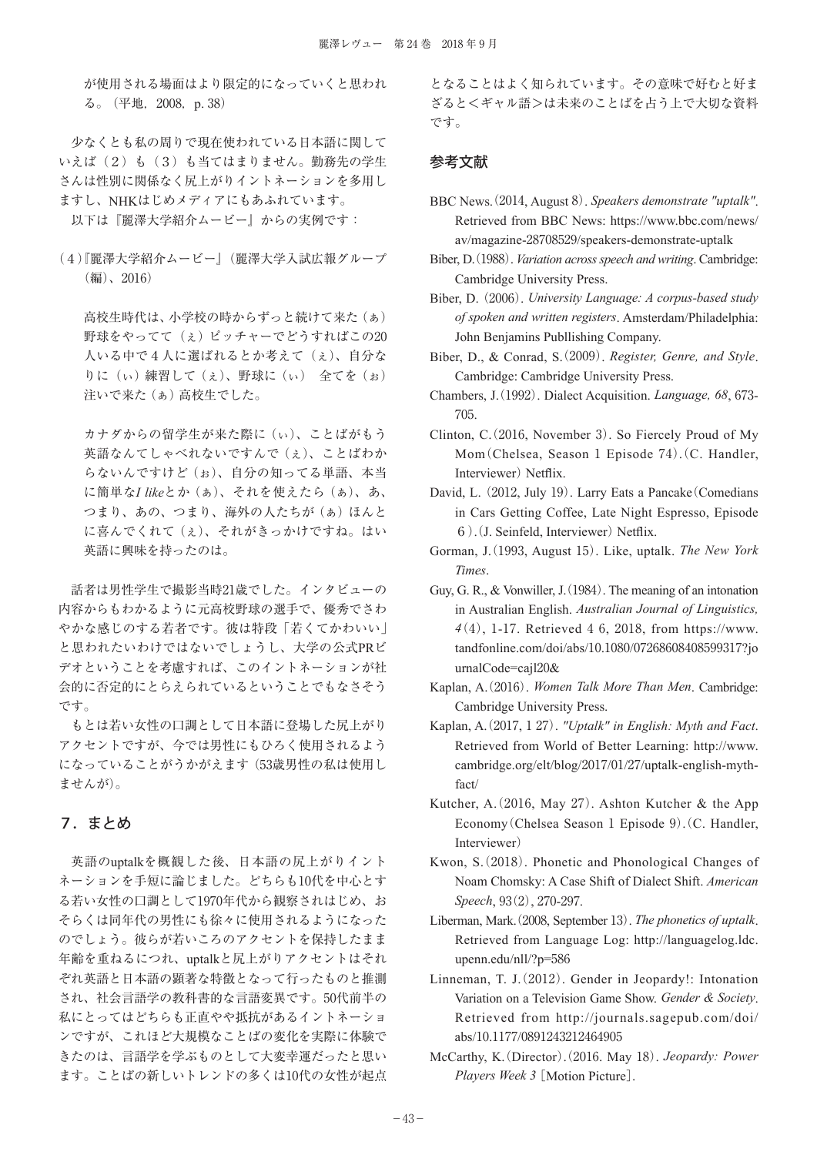が使用される場面はより限定的になっていくと思われ る。(平地,2008,p. 38)

少なくとも私の周りで現在使われている日本語に関して いえば(2)も(3)も当てはまりません。勤務先の学生 さんは性別に関係なく尻上がりイントネーションを多用し ますし、NHKはじめメディアにもあふれています。 以下は『麗澤大学紹介ムービー』からの実例です:

(4)『麗澤大学紹介ムービー』(麗澤大学入試広報グループ (編)、2016)

高校生時代は、小学校の時からずっと続けて来た(ぁ) 野球をやってて(ぇ)ピッチャーでどうすればこの20 人いる中で4人に選ばれるとか考えて(ぇ)、自分な りに(ぃ)練習して(ぇ)、野球に(ぃ) 全てを(ぉ) 注いで来た(ぁ)高校生でした。

カナダからの留学生が来た際に(ぃ)、ことばがもう 英語なんてしゃべれないですんで(ぇ)、ことばわか らないんですけど(ぉ)、自分の知ってる単語、本当 に簡単な*I like*とか(ぁ)、それを使えたら(ぁ)、あ、 つまり、あの、つまり、海外の人たちが(あ)ほんと に喜んでくれて(ぇ)、それがきっかけですね。はい 英語に興味を持ったのは。

話者は男性学生で撮影当時21歳でした。インタビューの 内容からもわかるように元高校野球の選手で、優秀でさわ やかな感じのする若者です。彼は特段「若くてかわいい」 と思われたいわけではないでしょうし、大学の公式PRビ デオということを考慮すれば、このイントネーションが社 会的に否定的にとらえられているということでもなさそう です。

もとは若い女性の口調として日本語に登場した尻上がり アクセントですが、今では男性にもひろく使用されるよう になっていることがうかがえます (53歳男性の私は使用し ませんが)。

## 7.まとめ

英語のuptalkを概観した後、日本語の尻上がりイント ネーションを手短に論じました。どちらも10代を中心とす る若い女性の口調として1970年代から観察されはじめ、お そらくは同年代の男性にも徐々に使用されるようになった のでしょう。彼らが若いころのアクセントを保持したまま 年齢を重ねるにつれ、uptalkと尻上がりアクセントはそれ ぞれ英語と日本語の顕著な特徴となって行ったものと推測 され、社会言語学の教科書的な言語変異です。50代前半の 私にとってはどちらも正直やや抵抗があるイントネーショ ンですが、これほど大規模なことばの変化を実際に体験で きたのは、言語学を学ぶものとして大変幸運だったと思い ます。ことばの新しいトレンドの多くは10代の女性が起点 となることはよく知られています。その意味で好むと好ま ざると<ギャル語>は未来のことばを占う上で大切な資料 です。

#### 参考文献

- BBC News(. 2014, August 8). *Speakers demonstrate "uptalk"*. Retrieved from BBC News: https://www.bbc.com/news/ av/magazine-28708529/speakers-demonstrate-uptalk
- Biber, D(. 1988). *Variation across speech and writing*. Cambridge: Cambridge University Press.
- Biber, D.(2006). *University Language: A corpus-based study of spoken and written registers*. Amsterdam/Philadelphia: John Benjamins Publlishing Company.
- Biber, D., & Conrad, S. (2009). *Register, Genre, and Style*. Cambridge: Cambridge University Press.
- Chambers, J. (1992). Dialect Acquisition. *Language*, 68, 673-705.
- Clinton, C.  $(2016, November 3)$ . So Fiercely Proud of My Mom (Chelsea, Season 1 Episode 74). (C. Handler, Interviewer) Netflix.
- David, L. (2012, July 19). Larry Eats a Pancake (Comedians in Cars Getting Coffee, Late Night Espresso, Episode 6). (J. Seinfeld, Interviewer) Netflix.
- Gorman, J. (1993, August 15). Like, uptalk. *The New York Times*.
- Guy, G. R., & Vonwiller, J. (1984). The meaning of an intonation in Australian English. *Australian Journal of Linguistics, 4*(4), 1-17. Retrieved 4 6, 2018, from https://www. tandfonline.com/doi/abs/10.1080/07268608408599317?jo urnalCode=cajl20&
- Kaplan, A. (2016). *Women Talk More Than Men*. Cambridge: Cambridge University Press.
- Kaplan, A. (2017, 1 27). *"Uptalk" in English: Myth and Fact*. Retrieved from World of Better Learning: http://www. cambridge.org/elt/blog/2017/01/27/uptalk-english-mythfact/
- Kutcher, A.  $(2016, May 27)$ . Ashton Kutcher & the App Economy (Chelsea Season 1 Episode 9). (C. Handler, Interviewer)
- Kwon, S. (2018). Phonetic and Phonological Changes of Noam Chomsky: A Case Shift of Dialect Shift. *American Speech*, 93(2), 270-297.
- Liberman, Mark. (2008, September 13). *The phonetics of uptalk*. Retrieved from Language Log: http://languagelog.ldc. upenn.edu/nll/?p=586
- Linneman, T. J. (2012). Gender in Jeopardy!: Intonation Variation on a Television Game Show. *Gender & Society*. Retrieved from http://journals.sagepub.com/doi/ abs/10.1177/0891243212464905
- McCarthy, K. (Director). (2016. May 18). *Jeopardy: Power Players Week 3* [Motion Picture].